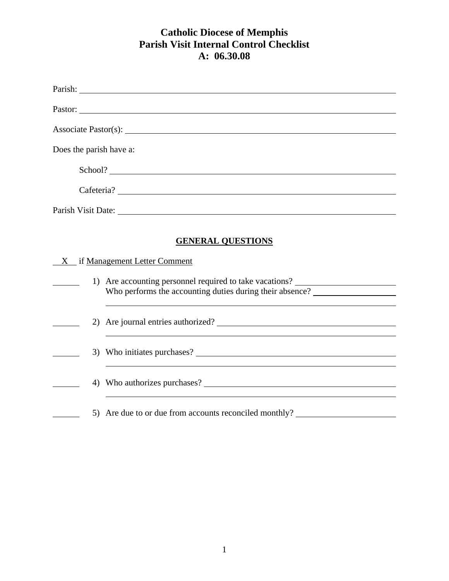|                         | Parish: New York Changes and the Changes of the Changes of the Changes of the Changes of the Changes of the Changes of the Changes of the Changes of the Changes of the Changes of the Changes of the Changes of the Changes o |  |  |  |
|-------------------------|--------------------------------------------------------------------------------------------------------------------------------------------------------------------------------------------------------------------------------|--|--|--|
|                         | Pastor:                                                                                                                                                                                                                        |  |  |  |
|                         |                                                                                                                                                                                                                                |  |  |  |
| Does the parish have a: |                                                                                                                                                                                                                                |  |  |  |
|                         |                                                                                                                                                                                                                                |  |  |  |
|                         | School?                                                                                                                                                                                                                        |  |  |  |
|                         |                                                                                                                                                                                                                                |  |  |  |
|                         | Parish Visit Date: 1988. [19] Date: 1988. [19] Date: 1988. [19] Date: 1988. [19] Date: 1988. [19] Date: 1988. [19] Date: 1988. [19] Date: 1988. [19] Date: 1988. [19] Date: 1988. [19] Date: 1988. [19] Date: 1988. [19] Date: |  |  |  |
|                         | <b>GENERAL QUESTIONS</b>                                                                                                                                                                                                       |  |  |  |
| X                       | if Management Letter Comment                                                                                                                                                                                                   |  |  |  |
|                         | 1) Are accounting personnel required to take vacations? ________________________                                                                                                                                               |  |  |  |
|                         | Who performs the accounting duties during their absence?                                                                                                                                                                       |  |  |  |
|                         | 2) Are journal entries authorized?                                                                                                                                                                                             |  |  |  |
|                         |                                                                                                                                                                                                                                |  |  |  |
|                         |                                                                                                                                                                                                                                |  |  |  |
|                         |                                                                                                                                                                                                                                |  |  |  |
|                         |                                                                                                                                                                                                                                |  |  |  |
|                         | 5) Are due to or due from accounts reconciled monthly?                                                                                                                                                                         |  |  |  |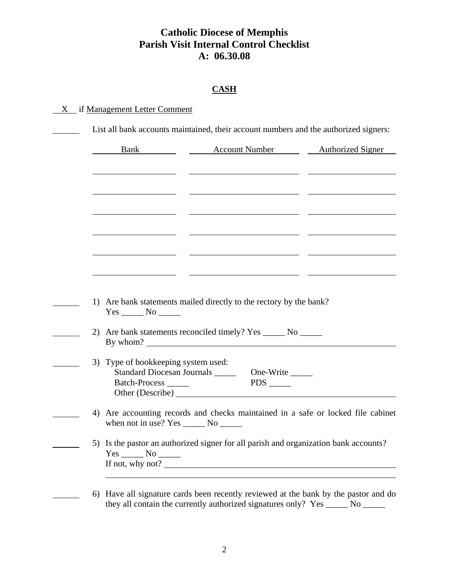### **CASH**

### $X$  if Management Letter Comment

| 3) Type of bookkeeping system used:            |                                                                                                                                                                                                                                     |
|------------------------------------------------|-------------------------------------------------------------------------------------------------------------------------------------------------------------------------------------------------------------------------------------|
| Standard Diocesan Journals ______<br>One-Write |                                                                                                                                                                                                                                     |
| when not in use? $Yes \_\_\_$ No $\_\_\_\_$    | 4) Are accounting records and checks maintained in a safe or locked file cabinet                                                                                                                                                    |
|                                                | 5) Is the pastor an authorized signer for all parish and organization bank accounts?                                                                                                                                                |
|                                                | the contract of the contract of the contract of the contract of the contract of<br>1) Are bank statements mailed directly to the rectory by the bank?<br>2) Are bank statements reconciled timely? Yes ______ No ______<br>By whom? |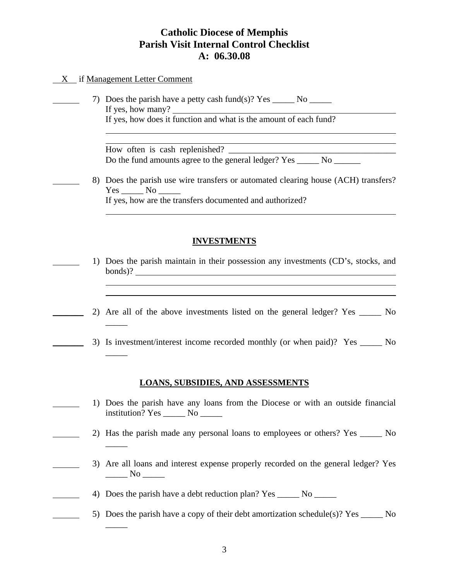#### X if Management Letter Comment

 $\overline{\phantom{a}}$ 

 $\overline{\phantom{a}}$ 

 $\overline{\phantom{a}}$ 

 $\overline{\phantom{a}}$ 

 7) Does the parish have a petty cash fund(s)? Yes \_\_\_\_\_ No \_\_\_\_\_ If yes, how many? If yes, how does it function and what is the amount of each fund?

> How often is cash replenished? Do the fund amounts agree to the general ledger? Yes \_\_\_\_\_\_ No \_\_\_\_\_\_\_

 8) Does the parish use wire transfers or automated clearing house (ACH) transfers? Yes No If yes, how are the transfers documented and authorized?

#### **INVESTMENTS**

- 1) Does the parish maintain in their possession any investments (CD's, stocks, and bonds)?
- 2) Are all of the above investments listed on the general ledger? Yes No
- 3) Is investment/interest income recorded monthly (or when paid)? Yes \_\_\_\_\_ No

#### **LOANS, SUBSIDIES, AND ASSESSMENTS**

- 1) Does the parish have any loans from the Diocese or with an outside financial institution? Yes \_\_\_\_\_ No \_\_\_\_\_
	- 2) Has the parish made any personal loans to employees or others? Yes \_\_\_\_\_ No
- 3) Are all loans and interest expense properly recorded on the general ledger? Yes  $\frac{N_0}{N_1}$ 
	- 4) Does the parish have a debt reduction plan? Yes No
		- 5) Does the parish have a copy of their debt amortization schedule(s)? Yes  $\_\_\_\_\_\$  No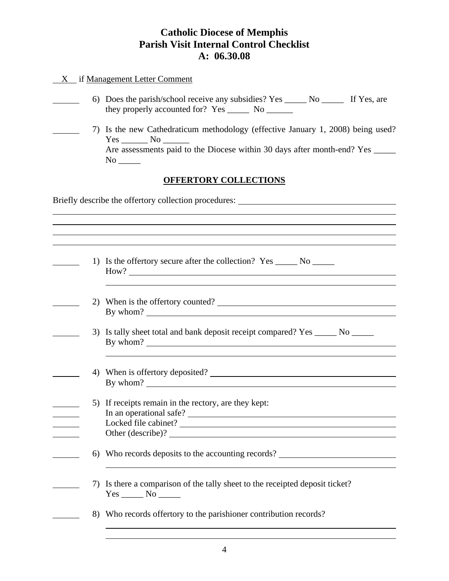### X if Management Letter Comment

- 6) Does the parish/school receive any subsidies? Yes \_\_\_\_\_ No \_\_\_\_\_ If Yes, are they properly accounted for? Yes \_\_\_\_\_\_\_ No \_\_\_\_\_\_\_
- 7) Is the new Cathedraticum methodology (effective January 1, 2008) being used? Yes \_\_\_\_\_\_\_\_ No \_\_\_\_\_ Are assessments paid to the Diocese within 30 days after month-end? Yes No \_\_\_\_\_

### **OFFERTORY COLLECTIONS**

Briefly describe the offertory collection procedures: \_\_\_\_\_\_\_\_\_\_\_\_\_\_\_\_\_\_\_\_\_\_\_\_\_\_\_

 $\overline{a}$ 

|    | 1) Is the offertory secure after the collection? Yes _______ No _______                        |
|----|------------------------------------------------------------------------------------------------|
| 2) | When is the offertory counted?                                                                 |
|    | 3) Is tally sheet total and bank deposit receipt compared? Yes ______ No ______                |
|    | 4) When is offertory deposited?<br>By whom?                                                    |
|    | 5) If receipts remain in the rectory, are they kept:<br>Locked file cabinet?                   |
|    | Other (describe)?<br>6) Who records deposits to the accounting records?                        |
|    |                                                                                                |
|    | 7) Is there a comparison of the tally sheet to the receipted deposit ticket?<br>$Yes \_ No \_$ |
|    | 8) Who records offertory to the parishioner contribution records?                              |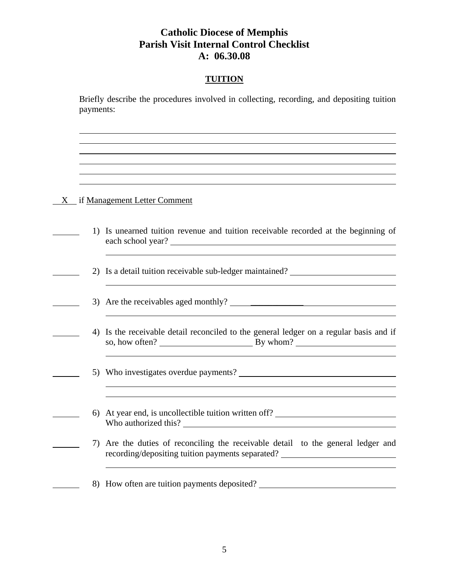### **TUITION**

 Briefly describe the procedures involved in collecting, recording, and depositing tuition payments:

#### X if Management Letter Comment

<u> 1990 - John Barn Barn, mars a</u>

- 1) Is unearned tuition revenue and tuition receivable recorded at the beginning of each school year?
- 2) Is a detail tuition receivable sub-ledger maintained?
- 3) Are the receivables aged monthly?  $\frac{1}{\sqrt{1-\frac{1}{\sqrt{1-\frac{1}{\sqrt{1-\frac{1}{\sqrt{1-\frac{1}{\sqrt{1-\frac{1}{\sqrt{1-\frac{1}{\sqrt{1-\frac{1}{\sqrt{1-\frac{1}{\sqrt{1-\frac{1}{\sqrt{1-\frac{1}{\sqrt{1-\frac{1}{\sqrt{1-\frac{1}{\sqrt{1-\frac{1}{\sqrt{1-\frac{1}{\sqrt{1-\frac{1}{\sqrt{1-\frac{1}{\sqrt{1-\frac{1}{\sqrt{1-\frac{1}{\sqrt{1-\frac{1}{\sqrt{1-\frac{$
- 4) Is the receivable detail reconciled to the general ledger on a regular basis and if so, how often? By whom?
- 5) Who investigates overdue payments?
- 6) At year end, is uncollectible tuition written off? Who authorized this?

<u> 1980 - Andrea Station Barbara, actor a component de la componentación de la componentación de la componentaci</u>

- 7) Are the duties of reconciling the receivable detail to the general ledger and recording/depositing tuition payments separated?
	- 8) How often are tuition payments deposited?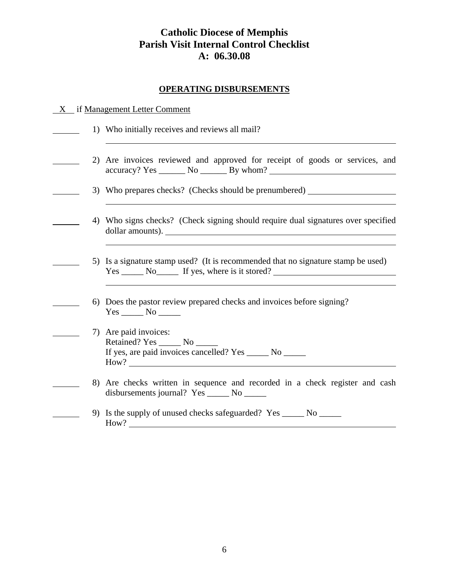#### **OPERATING DISBURSEMENTS**

| if Management Letter Comment |
|------------------------------|
|                              |

- 1) Who initially receives and reviews all mail?
- 2) Are invoices reviewed and approved for receipt of goods or services, and accuracy? Yes \_\_\_\_\_\_ No \_\_\_\_\_\_ By whom?
	- 3) Who prepares checks? (Checks should be prenumbered)
	- 4) Who signs checks? (Check signing should require dual signatures over specified dollar amounts).
	- 5) Is a signature stamp used? (It is recommended that no signature stamp be used) Yes \_\_\_\_\_\_ No\_\_\_\_\_\_ If yes, where is it stored? \_\_\_\_\_\_\_\_\_\_\_\_\_\_\_\_\_\_\_\_\_\_\_\_\_\_\_\_\_\_\_\_
	- 6) Does the pastor review prepared checks and invoices before signing? Yes \_\_\_\_\_\_\_ No \_\_\_\_\_\_
- 7) Are paid invoices: Retained? Yes \_\_\_\_\_ No If yes, are paid invoices cancelled? Yes \_\_\_\_\_ No \_\_\_\_\_ How?

- 8) Are checks written in sequence and recorded in a check register and cash disbursements journal? Yes \_\_\_\_\_ No \_\_\_\_\_
	- 9) Is the supply of unused checks safeguarded? Yes \_\_\_\_\_ No \_\_\_\_\_ How?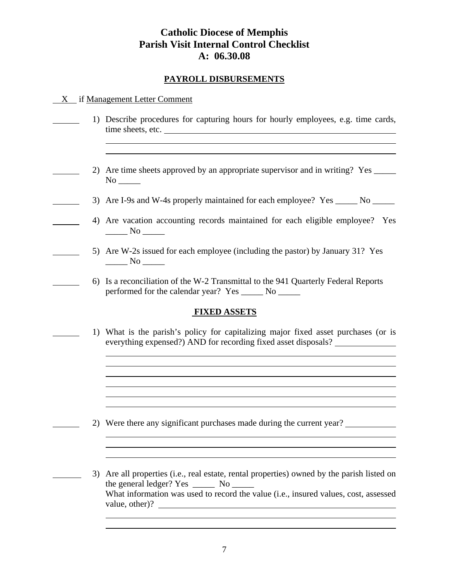### **PAYROLL DISBURSEMENTS**

#### X if Management Letter Comment

- 1) Describe procedures for capturing hours for hourly employees, e.g. time cards, time sheets, etc.
	- 2) Are time sheets approved by an appropriate supervisor and in writing? Yes No \_\_\_\_\_
- 3) Are I-9s and W-4s properly maintained for each employee? Yes \_\_\_\_\_\_ No \_\_\_\_\_\_
	- 4) Are vacation accounting records maintained for each eligible employee? Yes  $\frac{N_0}{N_0}$ 
		- 5) Are W-2s issued for each employee (including the pastor) by January 31? Yes  $\frac{N_0}{N_1}$
- 6) Is a reconciliation of the W-2 Transmittal to the 941 Quarterly Federal Reports performed for the calendar year? Yes \_\_\_\_\_ No \_\_\_\_\_

#### **FIXED ASSETS**

 1) What is the parish's policy for capitalizing major fixed asset purchases (or is everything expensed?) AND for recording fixed asset disposals?

- 2) Were there any significant purchases made during the current year?
- 3) Are all properties (i.e., real estate, rental properties) owned by the parish listed on the general ledger? Yes \_\_\_\_\_\_\_ No \_\_\_\_\_\_ What information was used to record the value (i.e., insured values, cost, assessed value, other)?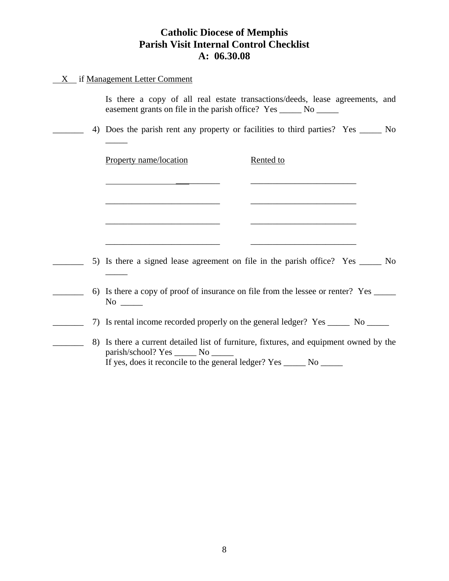#### X if Management Letter Comment

 $\overline{\phantom{a}}$ 

 $\overline{\phantom{a}}$ 

|  |  |  |  |  |                                                              | Is there a copy of all real estate transactions/deeds, lease agreements, and |  |
|--|--|--|--|--|--------------------------------------------------------------|------------------------------------------------------------------------------|--|
|  |  |  |  |  | easement grants on file in the parish office? Yes _______ No |                                                                              |  |

\_\_\_\_\_\_\_ 4) Does the parish rent any property or facilities to third parties? Yes \_\_\_\_\_ No

\_\_\_\_\_\_\_\_\_\_ \_\_\_\_\_\_\_\_\_\_\_\_\_\_\_\_\_\_\_\_\_\_\_\_

\_\_\_\_\_\_\_\_\_\_\_\_\_\_\_\_\_\_\_\_\_\_\_\_\_\_ \_\_\_\_\_\_\_\_\_\_\_\_\_\_\_\_\_\_\_\_\_\_\_\_

 $\overline{\phantom{a}}$  , and the contract of the contract of the contract of the contract of the contract of the contract of the contract of the contract of the contract of the contract of the contract of the contract of the contrac

Property name/location Rented to

5) Is there a signed lease agreement on file in the parish office? Yes \_\_\_\_\_ No

\_\_\_\_\_\_\_ 6) Is there a copy of proof of insurance on file from the lessee or renter? Yes \_\_\_\_\_ No  $\Box$ 

\_\_\_\_\_\_\_ 7) Is rental income recorded properly on the general ledger? Yes \_\_\_\_\_ No \_\_\_\_\_

\_\_\_\_\_\_\_ 8) Is there a current detailed list of furniture, fixtures, and equipment owned by the parish/school? Yes \_\_\_\_\_ No \_\_\_\_\_ If yes, does it reconcile to the general ledger? Yes \_\_\_\_\_ No \_\_\_\_\_